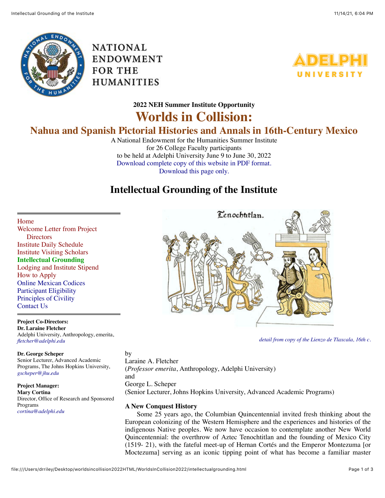

**NATIONAL** ENDOWMENT FOR THE **HUMANITIES** 



**2022 NEH Summer Institute Opportunity**

# **Worlds in Collision:**

# **Nahua and Spanish Pictorial Histories and Annals in 16th-Century Mexico**

A National Endowment for the Humanities Summer Institute for 26 College Faculty participants to be held at Adelphi University June 9 to June 30, 2022 [Download complete copy of this website in PDF format.](file:///Users/drriley/Desktop/worldsincollision2022HTML/WorldsInCollision2022/images/WorldInCollision2020.pdf) [Download this page only.](file:///Users/drriley/Desktop/worldsincollision2022HTML/WorldsInCollision2022/PDFs/IntellectualGroundingoftheInstitute.pdf)

## **Intellectual Grounding of the Institute**

[Home](file:///Users/drriley/Desktop/worldsincollision2022HTML/WorldsInCollision2022/index.html)

[Welcome Letter from Project](file:///Users/drriley/Desktop/worldsincollision2022HTML/WorldsInCollision2022/letter.html) **Directors** [Institute Daily Schedule](file:///Users/drriley/Desktop/worldsincollision2022HTML/WorldsInCollision2022/dailyschedule.html) [Institute Visiting Scholars](file:///Users/drriley/Desktop/worldsincollision2022HTML/WorldsInCollision2022/visitingscholars.html) **Intellectual Grounding** [Lodging and Institute Stipend](file:///Users/drriley/Desktop/worldsincollision2022HTML/WorldsInCollision2022/stipendandlodging.html) [How to Apply](file:///Users/drriley/Desktop/worldsincollision2022HTML/WorldsInCollision2022/howtoapply.html) [Online Mexican Codices](file:///Users/drriley/Desktop/worldsincollision2022HTML/WorldsInCollision2022/codices.html) [Participant Eligibility](file:///Users/drriley/Desktop/worldsincollision2022HTML/WorldsInCollision2022/ELIGIBILITY.pdf) [Principles of Civility](file:///Users/drriley/Desktop/worldsincollision2022HTML/WorldsInCollision2022/PrinciplesofCivility.pdf) [Contact Us](file:///Users/drriley/Desktop/worldsincollision2022HTML/WorldsInCollision2022/contactus.html)

**Project Co-Directors: Dr. Laraine Fletcher** Adelphi University, Anthropology, emerita, *[fletcher@adelphi.edu](mailto:fletcher@adelphi.edu)*

**Dr. George Scheper** Senior Lecturer, Advanced Academic Programs, The Johns Hopkins University, *[gscheper@jhu.edu](mailto:gscheper@jhu.edu)*

**Project Manager: Mary Cortina** Director, Office of Research and Sponsored Programs *[cortina@adelphi.edu](mailto:cortina@adelphi.edu)*



*[detail from copy of the Lienzo de Tlaxcala, 16th c.](http://www.mesolore.org/tutorials/learn/19/Introduction-to-the-Lienzo-de-Tlaxcala-/55/Summary)*

by Laraine A. Fletcher (*Professor emerita*, Anthropology, Adelphi University) and George L. Scheper (Senior Lecturer, Johns Hopkins University, Advanced Academic Programs)

### **A New Conquest History**

 Some 25 years ago, the Columbian Quincentennial invited fresh thinking about the European colonizing of the Western Hemisphere and the experiences and histories of the indigenous Native peoples. We now have occasion to contemplate another New World Quincentennial: the overthrow of Aztec Tenochtitlan and the founding of Mexico City (1519- 21), with the fateful meet-up of Hernan Cortés and the Emperor Montezuma [or Moctezuma] serving as an iconic tipping point of what has become a familiar master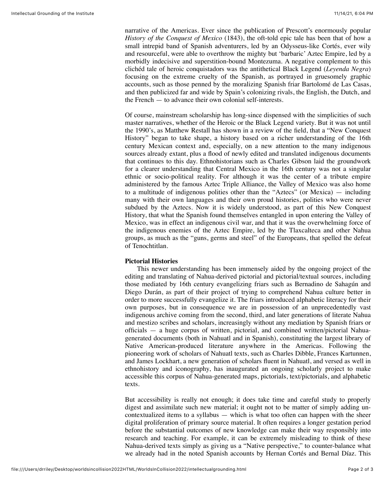narrative of the Americas. Ever since the publication of Prescott's enormously popular *History of the Conquest of Mexico* (1843), the oft-told epic tale has been that of how a small intrepid band of Spanish adventurers, led by an Odysseus-like Cortés, ever wily and resourceful, were able to overthrow the mighty but 'barbaric' Aztec Empire, led by a morbidly indecisive and superstition-bound Montezuma. A negative complement to this clichéd tale of heroic conquistadors was the antithetical Black Legend (*Leyenda Negra*) focusing on the extreme cruelty of the Spanish, as portrayed in gruesomely graphic accounts, such as those penned by the moralizing Spanish friar Bartolomé de Las Casas, and then publicized far and wide by Spain's colonizing rivals, the English, the Dutch, and the French — to advance their own colonial self-interests.

Of course, mainstream scholarship has long-since dispensed with the simplicities of such master narratives, whether of the Heroic or the Black Legend variety. But it was not until the 1990's, as Matthew Restall has shown in a review of the field, that a "New Conquest History" began to take shape, a history based on a richer understanding of the 16th century Mexican context and, especially, on a new attention to the many indigenous sources already extant, plus a flood of newly edited and translated indigenous documents that continues to this day. Ethnohistorians such as Charles Gibson laid the groundwork for a clearer understanding that Central Mexico in the 16th century was not a singular ethnic or socio-political reality. For although it was the center of a tribute empire administered by the famous Aztec Triple Alliance, the Valley of Mexico was also home to a multitude of indigenous polities other than the "Aztecs" (or Mexica) — including many with their own languages and their own proud histories, polities who were never subdued by the Aztecs. Now it is widely understood, as part of this New Conquest History, that what the Spanish found themselves entangled in upon entering the Valley of Mexico, was in effect an indigenous civil war, and that it was the overwhelming force of the indigenous enemies of the Aztec Empire, led by the Tlaxcalteca and other Nahua groups, as much as the "guns, germs and steel" of the Europeans, that spelled the defeat of Tenochtitlan.

### **Pictorial Histories**

 This newer understanding has been immensely aided by the ongoing project of the editing and translating of Nahua-derived pictorial and pictorial/textual sources, including those mediated by 16th century evangelizing friars such as Bernadino de Sahagún and Diego Durán, as part of their project of trying to comprehend Nahua culture better in order to more successfully evangelize it. The friars introduced alphabetic literacy for their own purposes, but in consequence we are in possession of an unprecedentedly vast indigenous archive coming from the second, third, and later generations of literate Nahua and mestizo scribes and scholars, increasingly without any mediation by Spanish friars or officials — a huge corpus of written, pictorial, and combined written/pictorial Nahuagenerated documents (both in Nahuatl and in Spanish), constituting the largest library of Native American-produced literature anywhere in the Americas. Following the pioneering work of scholars of Nahuatl texts, such as Charles Dibble, Frances Kartunnen, and James Lockhart, a new generation of scholars fluent in Nahuatl, and versed as well in ethnohistory and iconography, has inaugurated an ongoing scholarly project to make accessible this corpus of Nahua-generated maps, pictorials, text/pictorials, and alphabetic texts.

But accessibility is really not enough; it does take time and careful study to properly digest and assimilate such new material; it ought not to be matter of simply adding uncontextualized items to a syllabus — which is what too often can happen with the sheer digital proliferation of primary source material. It often requires a longer gestation period before the substantial outcomes of new knowledge can make their way responsibly into research and teaching. For example, it can be extremely misleading to think of these Nahua-derived texts simply as giving us a "Native perspective," to counter-balance what we already had in the noted Spanish accounts by Hernan Cortés and Bernal Díaz. This